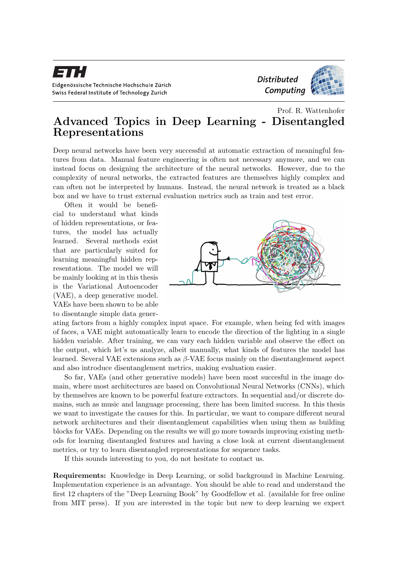

## Prof. R. Wattenhofer Advanced Topics in Deep Learning - Disentangled Representations

Deep neural networks have been very successful at automatic extraction of meaningful features from data. Manual feature engineering is often not necessary anymore, and we can instead focus on designing the architecture of the neural networks. However, due to the complexity of neural networks, the extracted features are themselves highly complex and can often not be interpreted by humans. Instead, the neural network is treated as a black box and we have to trust external evaluation metrics such as train and test error.

Often it would be beneficial to understand what kinds of hidden representations, or features, the model has actually learned. Several methods exist that are particularly suited for learning meaningful hidden representations. The model we will be mainly looking at in this thesis is the Variational Autoencoder (VAE), a deep generative model. VAEs have been shown to be able to disentangle simple data gener-



ating factors from a highly complex input space. For example, when being fed with images of faces, a VAE might automatically learn to encode the direction of the lighting in a single hidden variable. After training, we can vary each hidden variable and observe the effect on the output, which let's us analyze, albeit manually, what kinds of features the model has learned. Several VAE extensions such as  $\beta$ -VAE focus mainly on the disentanglement aspect and also introduce disentanglement metrics, making evaluation easier.

So far, VAEs (and other generative models) have been most succesful in the image domain, where most architectures are based on Convolutional Neural Networks (CNNs), which by themselves are known to be powerful feature extractors. In sequential and/or discrete domains, such as music and language processing, there has been limited success. In this thesis we want to investigate the causes for this. In particular, we want to compare different neural network architectures and their disentanglement capabilities when using them as building blocks for VAEs. Depending on the results we will go more towards improving existing methods for learning disentangled features and having a close look at current disentanglement metrics, or try to learn disentangled representations for sequence tasks.

If this sounds interesting to you, do not hesitate to contact us.

Requirements: Knowledge in Deep Learning, or solid background in Machine Learning. Implementation experience is an advantage. You should be able to read and understand the first 12 chapters of the "Deep Learning Book" by Goodfellow et al. (available for free online from MIT press). If you are interested in the topic but new to deep learning we expect